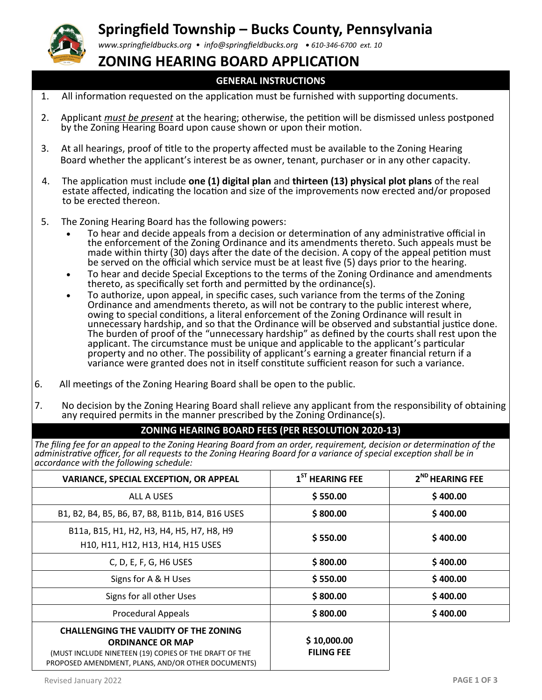

## **Springfield Township – Bucks County, Pennsylvania**

*www.springfieldbucks.org • info@springfieldbucks.org • <sup>610</sup>-346-6700 ext. 10* 

### **ZONING HEARING BOARD APPLICATION**

#### **GENERAL INSTRUCTIONS**

- 1. All information requested on the application must be furnished with supporting documents.
- 2. Applicant *must be present* at the hearing; otherwise, the petition will be dismissed unless postponed by the Zoning Hearing Board upon cause shown or upon their motion.
- 3. At all hearings, proof of title to the property affected must be available to the Zoning Hearing Board whether the applicant's interest be as owner, tenant, purchaser or in any other capacity.
- 4. The application must include **one (1) digital plan** and **thirteen (13) physical plot plans** of the real estate affected, indicating the location and size of the improvements now erected and/or proposed to be erected thereon.
- 5. The Zoning Hearing Board has the following powers:
	- To hear and decide appeals from a decision or determination of any administrative official in the enforcement of the Zoning Ordinance and its amendments thereto. Such appeals must be made within thirty (30) days after the date of the decision. A copy of the appeal petition must be served on the official which service must be at least five (5) days prior to the hearing.
	- To hear and decide Special Exceptions to the terms of the Zoning Ordinance and amendments thereto, as specifically set forth and permitted by the ordinance(s).
	- To authorize, upon appeal, in specific cases, such variance from the terms of the Zoning Ordinance and amendments thereto, as will not be contrary to the public interest where, owing to special conditions, a literal enforcement of the Zoning Ordinance will result in unnecessary hardship, and so that the Ordinance will be observed and substantial justice done. The burden of proof of the "unnecessary hardship" as defined by the courts shall rest upon the applicant. The circumstance must be unique and applicable to the applicant's particular property and no other. The possibility of applicant's earning a greater financial return if a variance were granted does not in itself constitute sufficient reason for such a variance.
- 6. All meetings of the Zoning Hearing Board shall be open to the public.
- 7. No decision by the Zoning Hearing Board shall relieve any applicant from the responsibility of obtaining any required permits in the manner prescribed by the Zoning Ordinance(s).

#### **ZONING HEARING BOARD FEES (PER RESOLUTION 2020-13)**

*The filing fee for an appeal to the Zoning Hearing Board from an order, requirement, decision or determination of the administrative officer, for all requests to the Zoning Hearing Board for a variance of special exception shall be in accordance with the following schedule:*

| <b>VARIANCE, SPECIAL EXCEPTION, OR APPEAL</b>                                                                                                                                            | $1ST$ HEARING FEE                | 2 <sup>ND</sup> HEARING FEE |
|------------------------------------------------------------------------------------------------------------------------------------------------------------------------------------------|----------------------------------|-----------------------------|
| ALL A USES                                                                                                                                                                               | \$550.00                         | \$400.00                    |
| B1, B2, B4, B5, B6, B7, B8, B11b, B14, B16 USES                                                                                                                                          | \$800.00                         | \$400.00                    |
| B11a, B15, H1, H2, H3, H4, H5, H7, H8, H9<br>H10, H11, H12, H13, H14, H15 USES                                                                                                           | \$550.00                         | \$400.00                    |
| C, D, E, F, G, H6 USES                                                                                                                                                                   | \$800.00                         | \$400.00                    |
| Signs for A & H Uses                                                                                                                                                                     | \$550.00                         | \$400.00                    |
| Signs for all other Uses                                                                                                                                                                 | \$800.00                         | \$400.00                    |
| <b>Procedural Appeals</b>                                                                                                                                                                | \$800.00                         | \$400.00                    |
| <b>CHALLENGING THE VALIDITY OF THE ZONING</b><br><b>ORDINANCE OR MAP</b><br>(MUST INCLUDE NINETEEN (19) COPIES OF THE DRAFT OF THE<br>PROPOSED AMENDMENT, PLANS, AND/OR OTHER DOCUMENTS) | \$10,000.00<br><b>FILING FEE</b> |                             |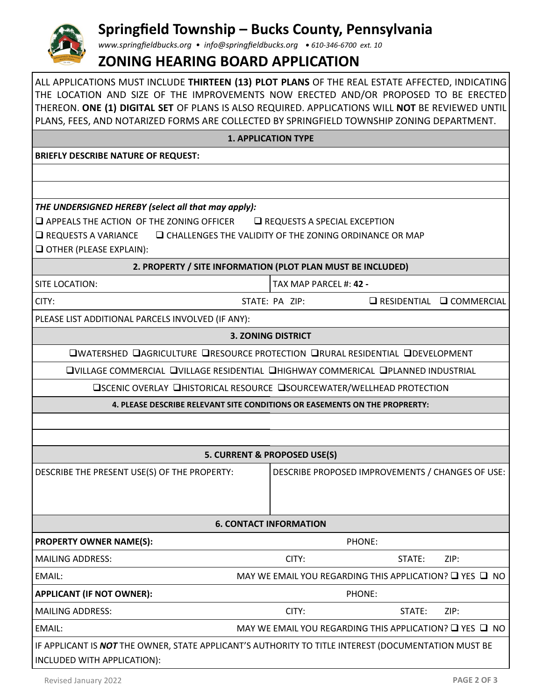# **Springfield Township – Bucks County, Pennsylvania**

*www.springfieldbucks.org • info@springfieldbucks.org • <sup>610</sup>-346-6700 ext. 10* 

## **ZONING HEARING BOARD APPLICATION**

ALL APPLICATIONS MUST INCLUDE **THIRTEEN (13) PLOT PLANS** OF THE REAL ESTATE AFFECTED, INDICATING THE LOCATION AND SIZE OF THE IMPROVEMENTS NOW ERECTED AND/OR PROPOSED TO BE ERECTED THEREON. **ONE (1) DIGITAL SET** OF PLANS IS ALSO REQUIRED. APPLICATIONS WILL **NOT** BE REVIEWED UNTIL

| PLANS, FEES, AND NOTARIZED FORMS ARE COLLECTED BY SPRINGFIELD TOWNSHIP ZONING DEPARTMENT.                                                                                                                                                                                           |                                                         |                    |                     |  |  |
|-------------------------------------------------------------------------------------------------------------------------------------------------------------------------------------------------------------------------------------------------------------------------------------|---------------------------------------------------------|--------------------|---------------------|--|--|
| <b>1. APPLICATION TYPE</b>                                                                                                                                                                                                                                                          |                                                         |                    |                     |  |  |
| <b>BRIEFLY DESCRIBE NATURE OF REQUEST:</b>                                                                                                                                                                                                                                          |                                                         |                    |                     |  |  |
|                                                                                                                                                                                                                                                                                     |                                                         |                    |                     |  |  |
|                                                                                                                                                                                                                                                                                     |                                                         |                    |                     |  |  |
| THE UNDERSIGNED HEREBY (select all that may apply):<br>$\square$ APPEALS THE ACTION OF THE ZONING OFFICER<br>$\Box$ REQUESTS A SPECIAL EXCEPTION<br><b>Q CHALLENGES THE VALIDITY OF THE ZONING ORDINANCE OR MAP</b><br>$\Box$ REQUESTS A VARIANCE<br>$\Box$ OTHER (PLEASE EXPLAIN): |                                                         |                    |                     |  |  |
| 2. PROPERTY / SITE INFORMATION (PLOT PLAN MUST BE INCLUDED)                                                                                                                                                                                                                         |                                                         |                    |                     |  |  |
| SITE LOCATION:                                                                                                                                                                                                                                                                      | TAX MAP PARCEL #: 42 -                                  |                    |                     |  |  |
| CITY:                                                                                                                                                                                                                                                                               | STATE: PA ZIP:                                          | $\Box$ RESIDENTIAL | <b>Q</b> COMMERCIAL |  |  |
| PLEASE LIST ADDITIONAL PARCELS INVOLVED (IF ANY):                                                                                                                                                                                                                                   |                                                         |                    |                     |  |  |
| <b>3. ZONING DISTRICT</b>                                                                                                                                                                                                                                                           |                                                         |                    |                     |  |  |
| <b>QWATERSHED QAGRICULTURE QRESOURCE PROTECTION QRURAL RESIDENTIAL QDEVELOPMENT</b>                                                                                                                                                                                                 |                                                         |                    |                     |  |  |
| <b>QVILLAGE COMMERCIAL QVILLAGE RESIDENTIAL QHIGHWAY COMMERICAL QPLANNED INDUSTRIAL</b>                                                                                                                                                                                             |                                                         |                    |                     |  |  |
| <b>□SCENIC OVERLAY □HISTORICAL RESOURCE □SOURCEWATER/WELLHEAD PROTECTION</b>                                                                                                                                                                                                        |                                                         |                    |                     |  |  |
| 4. PLEASE DESCRIBE RELEVANT SITE CONDITIONS OR EASEMENTS ON THE PROPRERTY:                                                                                                                                                                                                          |                                                         |                    |                     |  |  |
|                                                                                                                                                                                                                                                                                     |                                                         |                    |                     |  |  |
|                                                                                                                                                                                                                                                                                     |                                                         |                    |                     |  |  |
|                                                                                                                                                                                                                                                                                     | 5. CURRENT & PROPOSED USE(S)                            |                    |                     |  |  |
| DESCRIBE THE PRESENT USE(S) OF THE PROPERTY:                                                                                                                                                                                                                                        | DESCRIBE PROPOSED IMPROVEMENTS / CHANGES OF USE:        |                    |                     |  |  |
| <b>6. CONTACT INFORMATION</b>                                                                                                                                                                                                                                                       |                                                         |                    |                     |  |  |
| <b>PROPERTY OWNER NAME(S):</b>                                                                                                                                                                                                                                                      |                                                         | PHONE:             |                     |  |  |
| <b>MAILING ADDRESS:</b>                                                                                                                                                                                                                                                             | CITY:                                                   | STATE:             | ZIP:                |  |  |
| EMAIL:                                                                                                                                                                                                                                                                              | MAY WE EMAIL YOU REGARDING THIS APPLICATION? □ YES □ NO |                    |                     |  |  |
| <b>APPLICANT (IF NOT OWNER):</b><br>PHONE:                                                                                                                                                                                                                                          |                                                         |                    |                     |  |  |
| <b>MAILING ADDRESS:</b>                                                                                                                                                                                                                                                             | CITY:                                                   | STATE:             | ZIP:                |  |  |
| EMAIL:                                                                                                                                                                                                                                                                              | MAY WE EMAIL YOU REGARDING THIS APPLICATION? Q YES Q NO |                    |                     |  |  |
| IF APPLICANT IS NOT THE OWNER, STATE APPLICANT'S AUTHORITY TO TITLE INTEREST (DOCUMENTATION MUST BE<br>INCLUDED WITH APPLICATION):                                                                                                                                                  |                                                         |                    |                     |  |  |